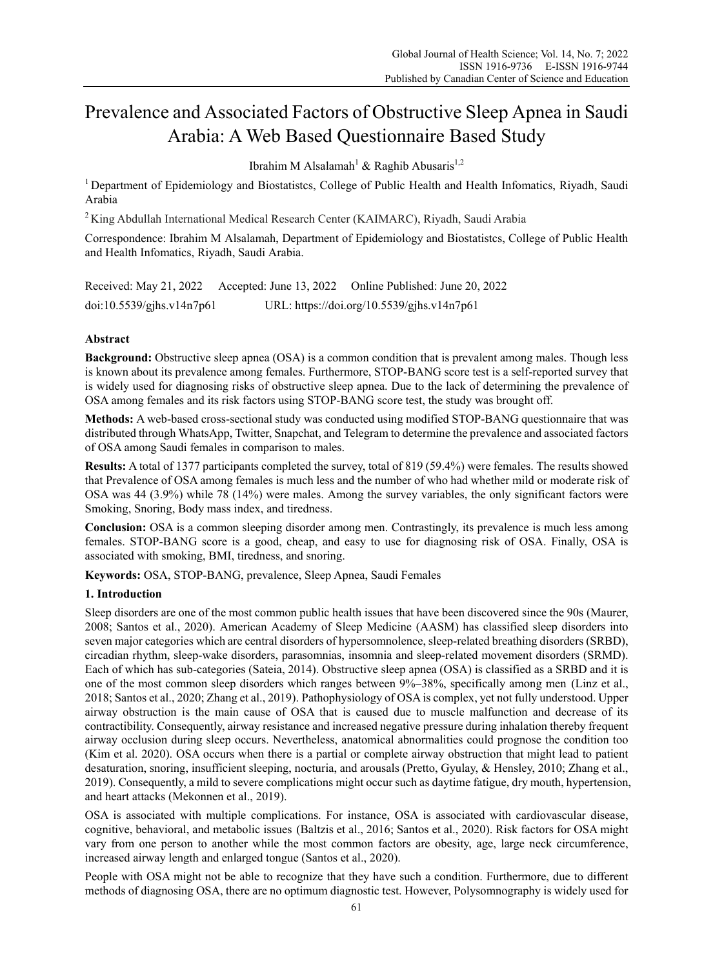# Prevalence and Associated Factors of Obstructive Sleep Apnea in Saudi Arabia: A Web Based Questionnaire Based Study

Ibrahim M Alsalamah<sup>1</sup> & Raghib Abusaris<sup>1,2</sup>

<sup>1</sup> Department of Epidemiology and Biostatistcs, College of Public Health and Health Infomatics, Riyadh, Saudi Arabia

2 King Abdullah International Medical Research Center (KAIMARC), Riyadh, Saudi Arabia

Correspondence: Ibrahim M Alsalamah, Department of Epidemiology and Biostatistcs, College of Public Health and Health Infomatics, Riyadh, Saudi Arabia.

Received: May 21, 2022 Accepted: June 13, 2022 Online Published: June 20, 2022 doi:10.5539/gjhs.v14n7p61 URL: https://doi.org/10.5539/gjhs.v14n7p61

# **Abstract**

**Background:** Obstructive sleep apnea (OSA) is a common condition that is prevalent among males. Though less is known about its prevalence among females. Furthermore, STOP-BANG score test is a self-reported survey that is widely used for diagnosing risks of obstructive sleep apnea. Due to the lack of determining the prevalence of OSA among females and its risk factors using STOP-BANG score test, the study was brought off.

**Methods:** A web-based cross-sectional study was conducted using modified STOP-BANG questionnaire that was distributed through WhatsApp, Twitter, Snapchat, and Telegram to determine the prevalence and associated factors of OSA among Saudi females in comparison to males.

**Results:** A total of 1377 participants completed the survey, total of 819 (59.4%) were females. The results showed that Prevalence of OSA among females is much less and the number of who had whether mild or moderate risk of OSA was 44 (3.9%) while 78 (14%) were males. Among the survey variables, the only significant factors were Smoking, Snoring, Body mass index, and tiredness.

**Conclusion:** OSA is a common sleeping disorder among men. Contrastingly, its prevalence is much less among females. STOP-BANG score is a good, cheap, and easy to use for diagnosing risk of OSA. Finally, OSA is associated with smoking, BMI, tiredness, and snoring.

**Keywords:** OSA, STOP-BANG, prevalence, Sleep Apnea, Saudi Females

# **1. Introduction**

Sleep disorders are one of the most common public health issues that have been discovered since the 90s (Maurer, 2008; Santos et al., 2020). American Academy of Sleep Medicine (AASM) has classified sleep disorders into seven major categories which are central disorders of hypersomnolence, sleep-related breathing disorders (SRBD), circadian rhythm, sleep-wake disorders, parasomnias, insomnia and sleep-related movement disorders (SRMD). Each of which has sub-categories (Sateia, 2014). Obstructive sleep apnea (OSA) is classified as a SRBD and it is one of the most common sleep disorders which ranges between 9%–38%, specifically among men (Linz et al., 2018; Santos et al., 2020; Zhang et al., 2019). Pathophysiology of OSA is complex, yet not fully understood. Upper airway obstruction is the main cause of OSA that is caused due to muscle malfunction and decrease of its contractibility. Consequently, airway resistance and increased negative pressure during inhalation thereby frequent airway occlusion during sleep occurs. Nevertheless, anatomical abnormalities could prognose the condition too (Kim et al. 2020). OSA occurs when there is a partial or complete airway obstruction that might lead to patient desaturation, snoring, insufficient sleeping, nocturia, and arousals (Pretto, Gyulay, & Hensley, 2010; Zhang et al., 2019). Consequently, a mild to severe complications might occur such as daytime fatigue, dry mouth, hypertension, and heart attacks (Mekonnen et al., 2019).

OSA is associated with multiple complications. For instance, OSA is associated with cardiovascular disease, cognitive, behavioral, and metabolic issues (Baltzis et al., 2016; Santos et al., 2020). Risk factors for OSA might vary from one person to another while the most common factors are obesity, age, large neck circumference, increased airway length and enlarged tongue (Santos et al., 2020).

People with OSA might not be able to recognize that they have such a condition. Furthermore, due to different methods of diagnosing OSA, there are no optimum diagnostic test. However, Polysomnography is widely used for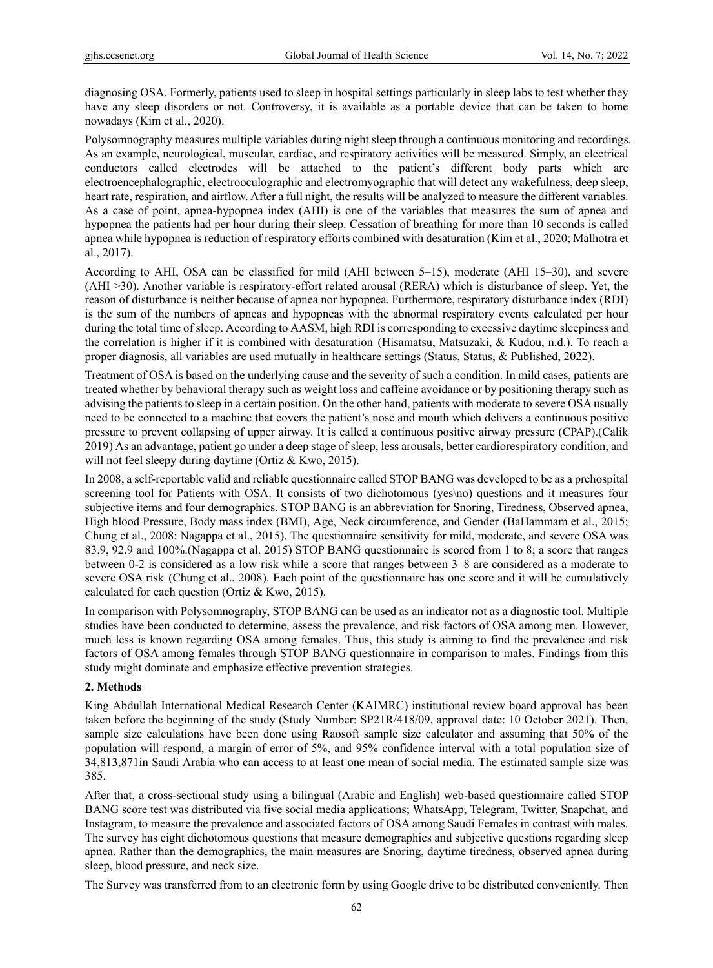diagnosing OSA. Formerly, patients used to sleep in hospital settings particularly in sleep labs to test whether they have any sleep disorders or not. Controversy, it is available as a portable device that can be taken to home nowadays (Kim et al., 2020).

Polysomnography measures multiple variables during night sleep through a continuous monitoring and recordings. As an example, neurological, muscular, cardiac, and respiratory activities will be measured. Simply, an electrical conductors called electrodes will be attached to the patient's different body parts which are electroencephalographic, electrooculographic and electromyographic that will detect any wakefulness, deep sleep, heart rate, respiration, and airflow. After a full night, the results will be analyzed to measure the different variables. As a case of point, apnea-hypopnea index (AHI) is one of the variables that measures the sum of apnea and hypopnea the patients had per hour during their sleep. Cessation of breathing for more than 10 seconds is called apnea while hypopnea is reduction of respiratory efforts combined with desaturation (Kim et al., 2020; Malhotra et al., 2017).

According to AHI, OSA can be classified for mild (AHI between 5–15), moderate (AHI 15–30), and severe (AHI >30). Another variable is respiratory-effort related arousal (RERA) which is disturbance of sleep. Yet, the reason of disturbance is neither because of apnea nor hypopnea. Furthermore, respiratory disturbance index (RDI) is the sum of the numbers of apneas and hypopneas with the abnormal respiratory events calculated per hour during the total time of sleep. According to AASM, high RDI is corresponding to excessive daytime sleepiness and the correlation is higher if it is combined with desaturation (Hisamatsu, Matsuzaki, & Kudou, n.d.). To reach a proper diagnosis, all variables are used mutually in healthcare settings (Status, Status, & Published, 2022).

Treatment of OSA is based on the underlying cause and the severity of such a condition. In mild cases, patients are treated whether by behavioral therapy such as weight loss and caffeine avoidance or by positioning therapy such as advising the patients to sleep in a certain position. On the other hand, patients with moderate to severe OSA usually need to be connected to a machine that covers the patient's nose and mouth which delivers a continuous positive pressure to prevent collapsing of upper airway. It is called a continuous positive airway pressure (CPAP).(Calik 2019) As an advantage, patient go under a deep stage of sleep, less arousals, better cardiorespiratory condition, and will not feel sleepy during daytime (Ortiz & Kwo, 2015).

In 2008, a self-reportable valid and reliable questionnaire called STOP BANG was developed to be as a prehospital screening tool for Patients with OSA. It consists of two dichotomous (yes\no) questions and it measures four subjective items and four demographics. STOP BANG is an abbreviation for Snoring, Tiredness, Observed apnea, High blood Pressure, Body mass index (BMI), Age, Neck circumference, and Gender (BaHammam et al., 2015; Chung et al., 2008; Nagappa et al., 2015). The questionnaire sensitivity for mild, moderate, and severe OSA was 83.9, 92.9 and 100%.(Nagappa et al. 2015) STOP BANG questionnaire is scored from 1 to 8; a score that ranges between 0-2 is considered as a low risk while a score that ranges between 3–8 are considered as a moderate to severe OSA risk (Chung et al., 2008). Each point of the questionnaire has one score and it will be cumulatively calculated for each question (Ortiz & Kwo, 2015).

In comparison with Polysomnography, STOP BANG can be used as an indicator not as a diagnostic tool. Multiple studies have been conducted to determine, assess the prevalence, and risk factors of OSA among men. However, much less is known regarding OSA among females. Thus, this study is aiming to find the prevalence and risk factors of OSA among females through STOP BANG questionnaire in comparison to males. Findings from this study might dominate and emphasize effective prevention strategies.

# **2. Methods**

King Abdullah International Medical Research Center (KAIMRC) institutional review board approval has been taken before the beginning of the study (Study Number: SP21R/418/09, approval date: 10 October 2021). Then, sample size calculations have been done using Raosoft sample size calculator and assuming that 50% of the population will respond, a margin of error of 5%, and 95% confidence interval with a total population size of 34,813,871in Saudi Arabia who can access to at least one mean of social media. The estimated sample size was 385.

After that, a cross-sectional study using a bilingual (Arabic and English) web-based questionnaire called STOP BANG score test was distributed via five social media applications; WhatsApp, Telegram, Twitter, Snapchat, and Instagram, to measure the prevalence and associated factors of OSA among Saudi Females in contrast with males. The survey has eight dichotomous questions that measure demographics and subjective questions regarding sleep apnea. Rather than the demographics, the main measures are Snoring, daytime tiredness, observed apnea during sleep, blood pressure, and neck size.

The Survey was transferred from to an electronic form by using Google drive to be distributed conveniently. Then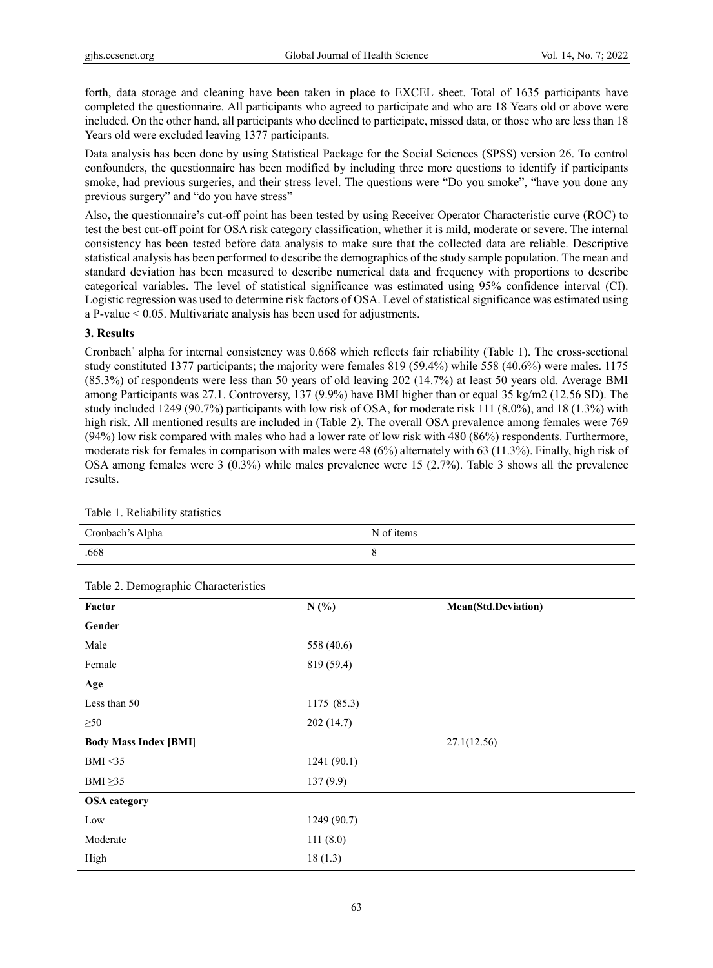forth, data storage and cleaning have been taken in place to EXCEL sheet. Total of 1635 participants have completed the questionnaire. All participants who agreed to participate and who are 18 Years old or above were included. On the other hand, all participants who declined to participate, missed data, or those who are less than 18 Years old were excluded leaving 1377 participants.

Data analysis has been done by using Statistical Package for the Social Sciences (SPSS) version 26. To control confounders, the questionnaire has been modified by including three more questions to identify if participants smoke, had previous surgeries, and their stress level. The questions were "Do you smoke", "have you done any previous surgery" and "do you have stress"

Also, the questionnaire's cut-off point has been tested by using Receiver Operator Characteristic curve (ROC) to test the best cut-off point for OSA risk category classification, whether it is mild, moderate or severe. The internal consistency has been tested before data analysis to make sure that the collected data are reliable. Descriptive statistical analysis has been performed to describe the demographics of the study sample population. The mean and standard deviation has been measured to describe numerical data and frequency with proportions to describe categorical variables. The level of statistical significance was estimated using 95% confidence interval (CI). Logistic regression was used to determine risk factors of OSA. Level of statistical significance was estimated using a P-value < 0.05. Multivariate analysis has been used for adjustments.

# **3. Results**

Cronbach' alpha for internal consistency was 0.668 which reflects fair reliability (Table 1). The cross-sectional study constituted 1377 participants; the majority were females 819 (59.4%) while 558 (40.6%) were males. 1175 (85.3%) of respondents were less than 50 years of old leaving 202 (14.7%) at least 50 years old. Average BMI among Participants was 27.1. Controversy, 137 (9.9%) have BMI higher than or equal 35 kg/m2 (12.56 SD). The study included 1249 (90.7%) participants with low risk of OSA, for moderate risk 111 (8.0%), and 18 (1.3%) with high risk. All mentioned results are included in (Table 2). The overall OSA prevalence among females were 769 (94%) low risk compared with males who had a lower rate of low risk with 480 (86%) respondents. Furthermore, moderate risk for females in comparison with males were 48 (6%) alternately with 63 (11.3%). Finally, high risk of OSA among females were 3 (0.3%) while males prevalence were 15 (2.7%). Table 3 shows all the prevalence results.

| Cronbach's Alpha | N of items |
|------------------|------------|
| .668             |            |

Table 2. Demographic Characteristics

Table 1. Reliability statistics

| raore 2. Demographie emaracteristics |             |                     |  |  |
|--------------------------------------|-------------|---------------------|--|--|
| Factor                               | N(%)        | Mean(Std.Deviation) |  |  |
| Gender                               |             |                     |  |  |
| Male                                 | 558 (40.6)  |                     |  |  |
| Female                               | 819 (59.4)  |                     |  |  |
| Age                                  |             |                     |  |  |
| Less than 50                         | 1175 (85.3) |                     |  |  |
| $\geq 50$                            | 202(14.7)   |                     |  |  |
| <b>Body Mass Index [BMI]</b>         |             | 27.1(12.56)         |  |  |
| BMI < 35                             | 1241(90.1)  |                     |  |  |
| BMI $\geq$ 35                        | 137(9.9)    |                     |  |  |
| <b>OSA</b> category                  |             |                     |  |  |
| Low                                  | 1249 (90.7) |                     |  |  |
| Moderate                             | 111(8.0)    |                     |  |  |
| High                                 | 18(1.3)     |                     |  |  |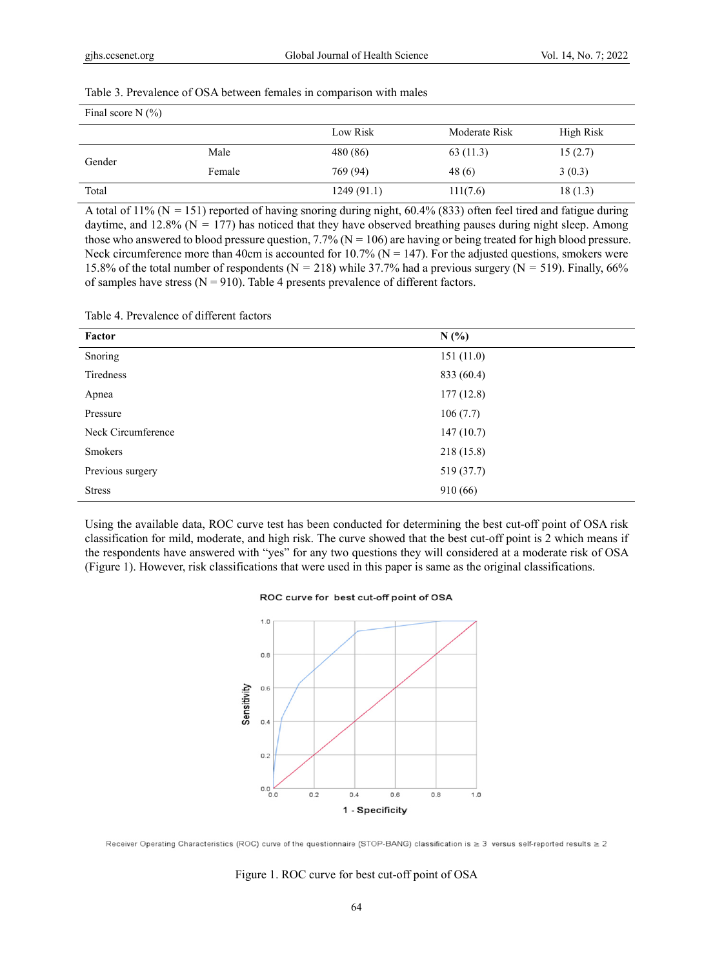# Table 3. Prevalence of OSA between females in comparison with males

| Final score $N(\%)$ |        |            |               |           |  |
|---------------------|--------|------------|---------------|-----------|--|
|                     |        | Low Risk   | Moderate Risk | High Risk |  |
| Gender              | Male   | 480 (86)   | 63(11.3)      | 15(2.7)   |  |
|                     | Female | 769 (94)   | 48(6)         | 3(0.3)    |  |
| Total               |        | 1249(91.1) | 111(7.6)      | 18(1.3)   |  |

A total of  $11\%$  (N = 151) reported of having snoring during night, 60.4% (833) often feel tired and fatigue during daytime, and 12.8% ( $N = 177$ ) has noticed that they have observed breathing pauses during night sleep. Among those who answered to blood pressure question,  $7.7\%$  (N = 106) are having or being treated for high blood pressure. Neck circumference more than 40cm is accounted for  $10.7\%$  (N = 147). For the adjusted questions, smokers were 15.8% of the total number of respondents ( $N = 218$ ) while 37.7% had a previous surgery ( $N = 519$ ). Finally, 66% of samples have stress ( $N = 910$ ). Table 4 presents prevalence of different factors.

## Table 4. Prevalence of different factors

| Factor             | N(%)       |
|--------------------|------------|
| Snoring            | 151(11.0)  |
| Tiredness          | 833 (60.4) |
| Apnea              | 177(12.8)  |
| Pressure           | 106(7.7)   |
| Neck Circumference | 147(10.7)  |
| Smokers            | 218(15.8)  |
| Previous surgery   | 519 (37.7) |
| <b>Stress</b>      | 910 (66)   |

Using the available data, ROC curve test has been conducted for determining the best cut-off point of OSA risk classification for mild, moderate, and high risk. The curve showed that the best cut-off point is 2 which means if the respondents have answered with "yes" for any two questions they will considered at a moderate risk of OSA (Figure 1). However, risk classifications that were used in this paper is same as the original classifications.

#### ROC curve for best cut-off point of OSA



Receiver Operating Characteristics (ROC) curve of the questionnaire (STOP-BANG) classification is  $\geq 3$  versus self-reported results  $\geq 2$ 

#### Figure 1. ROC curve for best cut-off point of OSA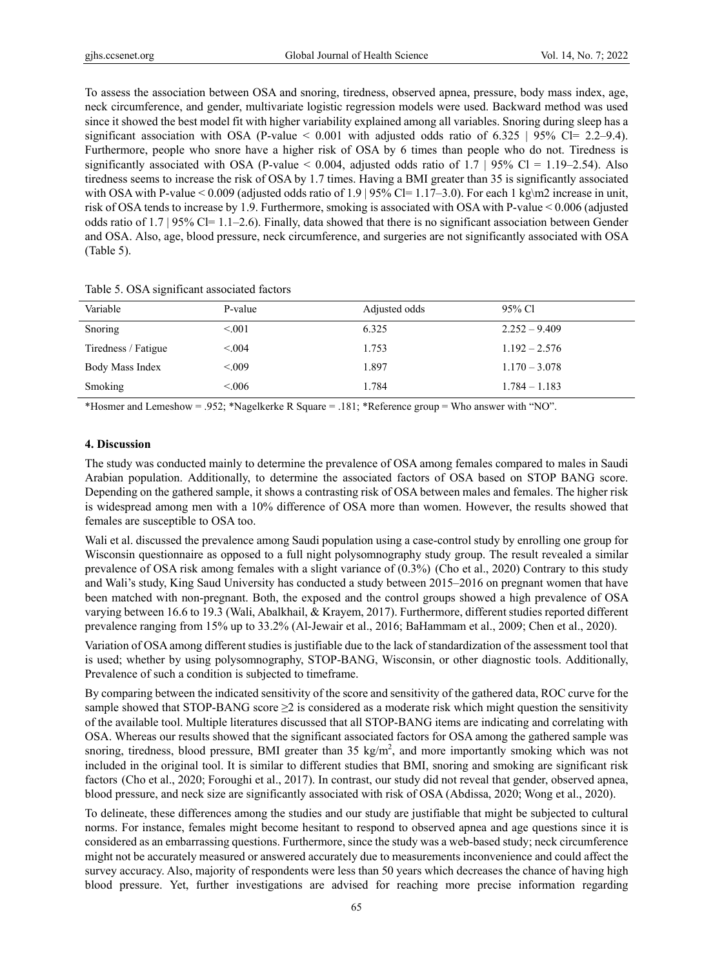To assess the association between OSA and snoring, tiredness, observed apnea, pressure, body mass index, age, neck circumference, and gender, multivariate logistic regression models were used. Backward method was used since it showed the best model fit with higher variability explained among all variables. Snoring during sleep has a significant association with OSA (P-value  $\lt$  0.001 with adjusted odds ratio of 6.325 | 95% Cl= 2.2–9.4). Furthermore, people who snore have a higher risk of OSA by 6 times than people who do not. Tiredness is significantly associated with OSA (P-value  $< 0.004$ , adjusted odds ratio of 1.7 | 95% Cl = 1.19–2.54). Also tiredness seems to increase the risk of OSA by 1.7 times. Having a BMI greater than 35 is significantly associated with OSA with P-value < 0.009 (adjusted odds ratio of 1.9 | 95% Cl= 1.17–3.0). For each 1 kg\m2 increase in unit, risk of OSA tends to increase by 1.9. Furthermore, smoking is associated with OSA with P-value < 0.006 (adjusted odds ratio of 1.7 | 95% Cl= 1.1–2.6). Finally, data showed that there is no significant association between Gender and OSA. Also, age, blood pressure, neck circumference, and surgeries are not significantly associated with OSA (Table 5).

| Variable            | P-value | Adjusted odds | 95% Cl          |
|---------------------|---------|---------------|-----------------|
| Snoring             | < 0.01  | 6.325         | $2.252 - 9.409$ |
| Tiredness / Fatigue | < 0.04  | 1.753         | $1.192 - 2.576$ |
| Body Mass Index     | < 0.09  | 1.897         | $1.170 - 3.078$ |
| Smoking             | < 0.06  | 1.784         | $1.784 - 1.183$ |

Table 5. OSA significant associated factors

\*Hosmer and Lemeshow = .952; \*Nagelkerke R Square = .181; \*Reference group = Who answer with "NO".

# **4. Discussion**

The study was conducted mainly to determine the prevalence of OSA among females compared to males in Saudi Arabian population. Additionally, to determine the associated factors of OSA based on STOP BANG score. Depending on the gathered sample, it shows a contrasting risk of OSA between males and females. The higher risk is widespread among men with a 10% difference of OSA more than women. However, the results showed that females are susceptible to OSA too.

Wali et al. discussed the prevalence among Saudi population using a case-control study by enrolling one group for Wisconsin questionnaire as opposed to a full night polysomnography study group. The result revealed a similar prevalence of OSA risk among females with a slight variance of (0.3%) (Cho et al., 2020) Contrary to this study and Wali's study, King Saud University has conducted a study between 2015–2016 on pregnant women that have been matched with non-pregnant. Both, the exposed and the control groups showed a high prevalence of OSA varying between 16.6 to 19.3 (Wali, Abalkhail, & Krayem, 2017). Furthermore, different studies reported different prevalence ranging from 15% up to 33.2% (Al-Jewair et al., 2016; BaHammam et al., 2009; Chen et al., 2020).

Variation of OSA among different studies is justifiable due to the lack of standardization of the assessment tool that is used; whether by using polysomnography, STOP-BANG, Wisconsin, or other diagnostic tools. Additionally, Prevalence of such a condition is subjected to timeframe.

By comparing between the indicated sensitivity of the score and sensitivity of the gathered data, ROC curve for the sample showed that STOP-BANG score  $\geq 2$  is considered as a moderate risk which might question the sensitivity of the available tool. Multiple literatures discussed that all STOP-BANG items are indicating and correlating with OSA. Whereas our results showed that the significant associated factors for OSA among the gathered sample was snoring, tiredness, blood pressure, BMI greater than 35 kg/m<sup>2</sup>, and more importantly smoking which was not included in the original tool. It is similar to different studies that BMI, snoring and smoking are significant risk factors (Cho et al., 2020; Foroughi et al., 2017). In contrast, our study did not reveal that gender, observed apnea, blood pressure, and neck size are significantly associated with risk of OSA (Abdissa, 2020; Wong et al., 2020).

To delineate, these differences among the studies and our study are justifiable that might be subjected to cultural norms. For instance, females might become hesitant to respond to observed apnea and age questions since it is considered as an embarrassing questions. Furthermore, since the study was a web-based study; neck circumference might not be accurately measured or answered accurately due to measurements inconvenience and could affect the survey accuracy. Also, majority of respondents were less than 50 years which decreases the chance of having high blood pressure. Yet, further investigations are advised for reaching more precise information regarding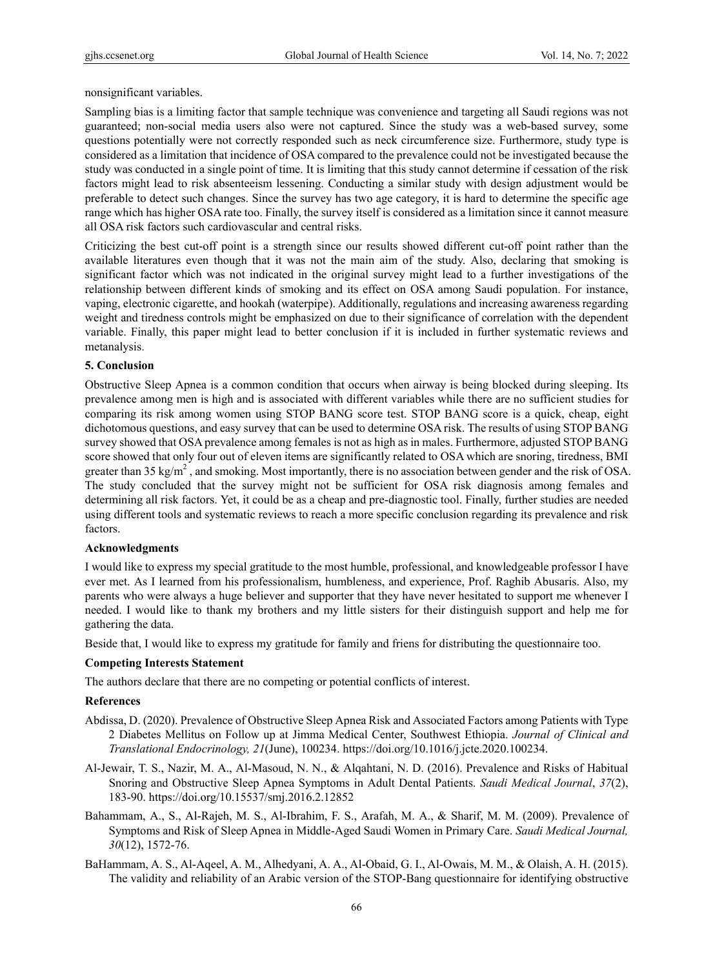nonsignificant variables.

Sampling bias is a limiting factor that sample technique was convenience and targeting all Saudi regions was not guaranteed; non-social media users also were not captured. Since the study was a web-based survey, some questions potentially were not correctly responded such as neck circumference size. Furthermore, study type is considered as a limitation that incidence of OSA compared to the prevalence could not be investigated because the study was conducted in a single point of time. It is limiting that this study cannot determine if cessation of the risk factors might lead to risk absenteeism lessening. Conducting a similar study with design adjustment would be preferable to detect such changes. Since the survey has two age category, it is hard to determine the specific age range which has higher OSA rate too. Finally, the survey itself is considered as a limitation since it cannot measure all OSA risk factors such cardiovascular and central risks.

Criticizing the best cut-off point is a strength since our results showed different cut-off point rather than the available literatures even though that it was not the main aim of the study. Also, declaring that smoking is significant factor which was not indicated in the original survey might lead to a further investigations of the relationship between different kinds of smoking and its effect on OSA among Saudi population. For instance, vaping, electronic cigarette, and hookah (waterpipe). Additionally, regulations and increasing awareness regarding weight and tiredness controls might be emphasized on due to their significance of correlation with the dependent variable. Finally, this paper might lead to better conclusion if it is included in further systematic reviews and metanalysis.

# **5. Conclusion**

Obstructive Sleep Apnea is a common condition that occurs when airway is being blocked during sleeping. Its prevalence among men is high and is associated with different variables while there are no sufficient studies for comparing its risk among women using STOP BANG score test. STOP BANG score is a quick, cheap, eight dichotomous questions, and easy survey that can be used to determine OSA risk. The results of using STOP BANG survey showed that OSA prevalence among females is not as high as in males. Furthermore, adjusted STOP BANG score showed that only four out of eleven items are significantly related to OSA which are snoring, tiredness, BMI greater than 35 kg/m<sup>2</sup>, and smoking. Most importantly, there is no association between gender and the risk of OSA. The study concluded that the survey might not be sufficient for OSA risk diagnosis among females and determining all risk factors. Yet, it could be as a cheap and pre-diagnostic tool. Finally, further studies are needed using different tools and systematic reviews to reach a more specific conclusion regarding its prevalence and risk factors.

## **Acknowledgments**

I would like to express my special gratitude to the most humble, professional, and knowledgeable professor I have ever met. As I learned from his professionalism, humbleness, and experience, Prof. Raghib Abusaris. Also, my parents who were always a huge believer and supporter that they have never hesitated to support me whenever I needed. I would like to thank my brothers and my little sisters for their distinguish support and help me for gathering the data.

Beside that, I would like to express my gratitude for family and friens for distributing the questionnaire too.

## **Competing Interests Statement**

The authors declare that there are no competing or potential conflicts of interest.

## **References**

- Abdissa, D. (2020). Prevalence of Obstructive Sleep Apnea Risk and Associated Factors among Patients with Type 2 Diabetes Mellitus on Follow up at Jimma Medical Center, Southwest Ethiopia. *Journal of Clinical and Translational Endocrinology, 21*(June), 100234. https://doi.org/10.1016/j.jcte.2020.100234.
- Al-Jewair, T. S., Nazir, M. A., Al-Masoud, N. N., & Alqahtani, N. D. (2016). Prevalence and Risks of Habitual Snoring and Obstructive Sleep Apnea Symptoms in Adult Dental Patients. *Saudi Medical Journal*, *37*(2), 183-90. https://doi.org/10.15537/smj.2016.2.12852
- Bahammam, A., S., Al-Rajeh, M. S., Al-Ibrahim, F. S., Arafah, M. A., & Sharif, M. M. (2009). Prevalence of Symptoms and Risk of Sleep Apnea in Middle-Aged Saudi Women in Primary Care. *Saudi Medical Journal, 30*(12), 1572-76.
- BaHammam, A. S., Al-Aqeel, A. M., Alhedyani, A. A., Al-Obaid, G. I., Al-Owais, M. M., & Olaish, A. H. (2015). The validity and reliability of an Arabic version of the STOP-Bang questionnaire for identifying obstructive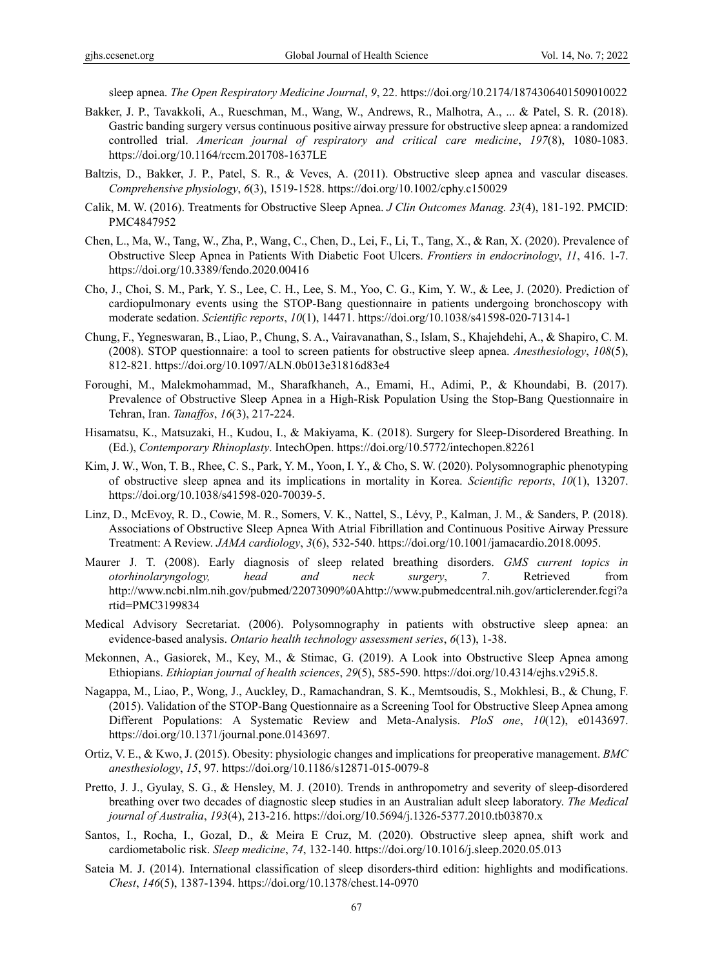sleep apnea. *The Open Respiratory Medicine Journal*, *9*, 22. https://doi.org/10.2174/1874306401509010022

- Bakker, J. P., Tavakkoli, A., Rueschman, M., Wang, W., Andrews, R., Malhotra, A., ... & Patel, S. R. (2018). Gastric banding surgery versus continuous positive airway pressure for obstructive sleep apnea: a randomized controlled trial. *American journal of respiratory and critical care medicine*, *197*(8), 1080-1083. https://doi.org/10.1164/rccm.201708-1637LE
- Baltzis, D., Bakker, J. P., Patel, S. R., & Veves, A. (2011). Obstructive sleep apnea and vascular diseases. *Comprehensive physiology*, *6*(3), 1519-1528. https://doi.org/10.1002/cphy.c150029
- Calik, M. W. (2016). Treatments for Obstructive Sleep Apnea. *J Clin Outcomes Manag. 23*(4), 181-192. PMCID: PMC4847952
- Chen, L., Ma, W., Tang, W., Zha, P., Wang, C., Chen, D., Lei, F., Li, T., Tang, X., & Ran, X. (2020). Prevalence of Obstructive Sleep Apnea in Patients With Diabetic Foot Ulcers. *Frontiers in endocrinology*, *11*, 416. 1-7. https://doi.org/10.3389/fendo.2020.00416
- Cho, J., Choi, S. M., Park, Y. S., Lee, C. H., Lee, S. M., Yoo, C. G., Kim, Y. W., & Lee, J. (2020). Prediction of cardiopulmonary events using the STOP-Bang questionnaire in patients undergoing bronchoscopy with moderate sedation. *Scientific reports*, *10*(1), 14471. https://doi.org/10.1038/s41598-020-71314-1
- Chung, F., Yegneswaran, B., Liao, P., Chung, S. A., Vairavanathan, S., Islam, S., Khajehdehi, A., & Shapiro, C. M. (2008). STOP questionnaire: a tool to screen patients for obstructive sleep apnea. *Anesthesiology*, *108*(5), 812-821. https://doi.org/10.1097/ALN.0b013e31816d83e4
- Foroughi, M., Malekmohammad, M., Sharafkhaneh, A., Emami, H., Adimi, P., & Khoundabi, B. (2017). Prevalence of Obstructive Sleep Apnea in a High-Risk Population Using the Stop-Bang Questionnaire in Tehran, Iran. *Tanaffos*, *16*(3), 217-224.
- Hisamatsu, K., Matsuzaki, H., Kudou, I., & Makiyama, K. (2018). Surgery for Sleep-Disordered Breathing. In (Ed.), *Contemporary Rhinoplasty*. IntechOpen. https://doi.org/10.5772/intechopen.82261
- Kim, J. W., Won, T. B., Rhee, C. S., Park, Y. M., Yoon, I. Y., & Cho, S. W. (2020). Polysomnographic phenotyping of obstructive sleep apnea and its implications in mortality in Korea. *Scientific reports*, *10*(1), 13207. https://doi.org/10.1038/s41598-020-70039-5.
- Linz, D., McEvoy, R. D., Cowie, M. R., Somers, V. K., Nattel, S., Lévy, P., Kalman, J. M., & Sanders, P. (2018). Associations of Obstructive Sleep Apnea With Atrial Fibrillation and Continuous Positive Airway Pressure Treatment: A Review. *JAMA cardiology*, *3*(6), 532-540. https://doi.org/10.1001/jamacardio.2018.0095.
- Maurer J. T. (2008). Early diagnosis of sleep related breathing disorders. *GMS current topics in otorhinolaryngology, head and neck surgery*, *7*. Retrieved from http://www.ncbi.nlm.nih.gov/pubmed/22073090%0Ahttp://www.pubmedcentral.nih.gov/articlerender.fcgi?a rtid=PMC3199834
- Medical Advisory Secretariat. (2006). Polysomnography in patients with obstructive sleep apnea: an evidence-based analysis. *Ontario health technology assessment series*, *6*(13), 1-38.
- Mekonnen, A., Gasiorek, M., Key, M., & Stimac, G. (2019). A Look into Obstructive Sleep Apnea among Ethiopians. *Ethiopian journal of health sciences*, *29*(5), 585-590. https://doi.org/10.4314/ejhs.v29i5.8.
- Nagappa, M., Liao, P., Wong, J., Auckley, D., Ramachandran, S. K., Memtsoudis, S., Mokhlesi, B., & Chung, F. (2015). Validation of the STOP-Bang Questionnaire as a Screening Tool for Obstructive Sleep Apnea among Different Populations: A Systematic Review and Meta-Analysis. *PloS one*, *10*(12), e0143697. https://doi.org/10.1371/journal.pone.0143697.
- Ortiz, V. E., & Kwo, J. (2015). Obesity: physiologic changes and implications for preoperative management. *BMC anesthesiology*, *15*, 97. https://doi.org/10.1186/s12871-015-0079-8
- Pretto, J. J., Gyulay, S. G., & Hensley, M. J. (2010). Trends in anthropometry and severity of sleep-disordered breathing over two decades of diagnostic sleep studies in an Australian adult sleep laboratory. *The Medical journal of Australia*, *193*(4), 213-216. https://doi.org/10.5694/j.1326-5377.2010.tb03870.x
- Santos, I., Rocha, I., Gozal, D., & Meira E Cruz, M. (2020). Obstructive sleep apnea, shift work and cardiometabolic risk. *Sleep medicine*, *74*, 132-140. https://doi.org/10.1016/j.sleep.2020.05.013
- Sateia M. J. (2014). International classification of sleep disorders-third edition: highlights and modifications. *Chest*, *146*(5), 1387-1394. https://doi.org/10.1378/chest.14-0970